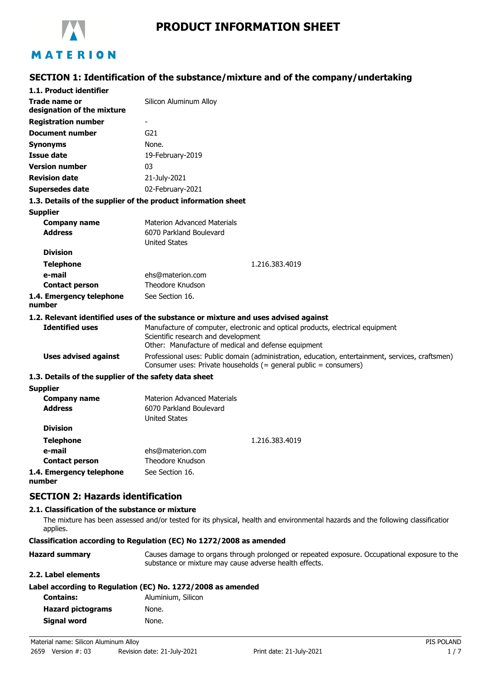

# **PRODUCT INFORMATION SHEET**

# **SECTION 1: Identification of the substance/mixture and of the company/undertaking**

| 1.1. Product identifier                                       |                                                                                                                                                                              |
|---------------------------------------------------------------|------------------------------------------------------------------------------------------------------------------------------------------------------------------------------|
| Trade name or<br>designation of the mixture                   | Silicon Aluminum Alloy                                                                                                                                                       |
| <b>Registration number</b>                                    |                                                                                                                                                                              |
| <b>Document number</b>                                        | G <sub>21</sub>                                                                                                                                                              |
| <b>Synonyms</b>                                               | None.                                                                                                                                                                        |
| Issue date                                                    | 19-February-2019                                                                                                                                                             |
| <b>Version number</b>                                         | 03                                                                                                                                                                           |
| <b>Revision date</b>                                          | 21-July-2021                                                                                                                                                                 |
| <b>Supersedes date</b>                                        | 02-February-2021                                                                                                                                                             |
| 1.3. Details of the supplier of the product information sheet |                                                                                                                                                                              |
| <b>Supplier</b>                                               |                                                                                                                                                                              |
| <b>Company name</b><br><b>Address</b>                         | <b>Materion Advanced Materials</b><br>6070 Parkland Boulevard                                                                                                                |
|                                                               | <b>United States</b>                                                                                                                                                         |
| <b>Division</b>                                               |                                                                                                                                                                              |
| <b>Telephone</b>                                              | 1.216.383.4019                                                                                                                                                               |
| e-mail                                                        | ehs@materion.com<br>Theodore Knudson                                                                                                                                         |
| <b>Contact person</b>                                         | See Section 16.                                                                                                                                                              |
| 1.4. Emergency telephone<br>number                            |                                                                                                                                                                              |
|                                                               | 1.2. Relevant identified uses of the substance or mixture and uses advised against                                                                                           |
| <b>Identified uses</b>                                        | Manufacture of computer, electronic and optical products, electrical equipment<br>Scientific research and development<br>Other: Manufacture of medical and defense equipment |
| <b>Uses advised against</b>                                   | Professional uses: Public domain (administration, education, entertainment, services, craftsmen)<br>Consumer uses: Private households (= general public = consumers)         |
| 1.3. Details of the supplier of the safety data sheet         |                                                                                                                                                                              |
| <b>Supplier</b>                                               |                                                                                                                                                                              |
| <b>Company name</b><br><b>Address</b>                         | <b>Materion Advanced Materials</b><br>6070 Parkland Boulevard<br><b>United States</b>                                                                                        |
| <b>Division</b>                                               |                                                                                                                                                                              |
| <b>Telephone</b>                                              | 1.216.383.4019                                                                                                                                                               |
| e-mail                                                        | ehs@materion.com                                                                                                                                                             |
| <b>Contact person</b>                                         | Theodore Knudson                                                                                                                                                             |
| 1.4. Emergency telephone                                      | See Section 16.                                                                                                                                                              |

**number**

**SECTION 2: Hazards identification**

### **2.1. Classification of the substance or mixture**

The mixture has been assessed and/or tested for its physical, health and environmental hazards and the following classification applies.

#### **Classification according to Regulation (EC) No 1272/2008 as amended**

| <b>Hazard summary</b> | Causes damage to organs through prolonged or repeated exposure. Occupational exposure to the |  |
|-----------------------|----------------------------------------------------------------------------------------------|--|
|                       | substance or mixture may cause adverse health effects.                                       |  |

### **2.2. Label elements**

| Label according to Regulation (EC) No. 1272/2008 as amended |  |  |
|-------------------------------------------------------------|--|--|
|-------------------------------------------------------------|--|--|

| Aluminium, Silicon |
|--------------------|
| None.              |
| None.              |
|                    |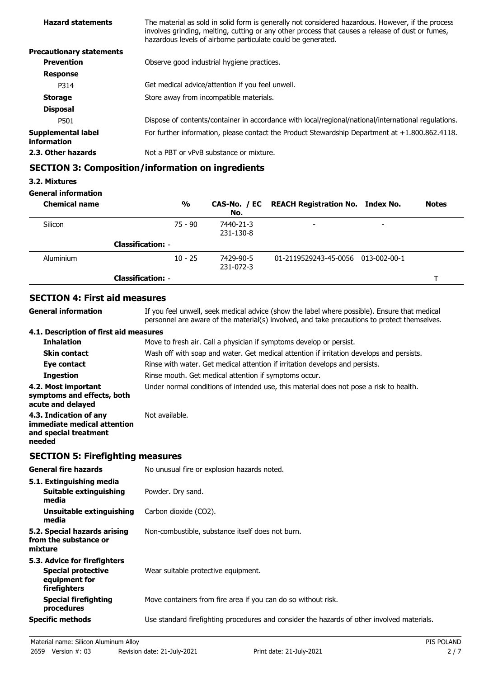| <b>Hazard statements</b>          | The material as sold in solid form is generally not considered hazardous. However, if the process<br>involves grinding, melting, cutting or any other process that causes a release of dust or fumes,<br>hazardous levels of airborne particulate could be generated. |
|-----------------------------------|-----------------------------------------------------------------------------------------------------------------------------------------------------------------------------------------------------------------------------------------------------------------------|
| <b>Precautionary statements</b>   |                                                                                                                                                                                                                                                                       |
| <b>Prevention</b>                 | Observe good industrial hygiene practices.                                                                                                                                                                                                                            |
| <b>Response</b>                   |                                                                                                                                                                                                                                                                       |
| P314                              | Get medical advice/attention if you feel unwell.                                                                                                                                                                                                                      |
| <b>Storage</b>                    | Store away from incompatible materials.                                                                                                                                                                                                                               |
| <b>Disposal</b>                   |                                                                                                                                                                                                                                                                       |
| P501                              | Dispose of contents/container in accordance with local/regional/national/international regulations.                                                                                                                                                                   |
| Supplemental label<br>information | For further information, please contact the Product Stewardship Department at $+1.800.862.4118$ .                                                                                                                                                                     |
| 2.3. Other hazards                | Not a PBT or vPvB substance or mixture.                                                                                                                                                                                                                               |
|                                   |                                                                                                                                                                                                                                                                       |

## **SECTION 3: Composition/information on ingredients**

### **3.2. Mixtures**

### **General information**

| <b>Chemical name</b> |                          | $\frac{0}{0}$ | No.                    | CAS-No. / EC REACH Registration No. Index No. |   | <b>Notes</b> |
|----------------------|--------------------------|---------------|------------------------|-----------------------------------------------|---|--------------|
| Silicon              |                          | 75 - 90       | 7440-21-3<br>231-130-8 | $\overline{\phantom{0}}$                      | - |              |
|                      | <b>Classification: -</b> |               |                        |                                               |   |              |
| Aluminium            |                          | $10 - 25$     | 7429-90-5<br>231-072-3 | 01-2119529243-45-0056 013-002-00-1            |   |              |
|                      | <b>Classification: -</b> |               |                        |                                               |   |              |

### **SECTION 4: First aid measures**

| General information                                                                      | If you feel unwell, seek medical advice (show the label where possible). Ensure that medical<br>personnel are aware of the material(s) involved, and take precautions to protect themselves. |
|------------------------------------------------------------------------------------------|----------------------------------------------------------------------------------------------------------------------------------------------------------------------------------------------|
| 4.1. Description of first aid measures                                                   |                                                                                                                                                                                              |
| <b>Inhalation</b>                                                                        | Move to fresh air. Call a physician if symptoms develop or persist.                                                                                                                          |
| <b>Skin contact</b>                                                                      | Wash off with soap and water. Get medical attention if irritation develops and persists.                                                                                                     |
| Eye contact                                                                              | Rinse with water. Get medical attention if irritation develops and persists.                                                                                                                 |
| <b>Ingestion</b>                                                                         | Rinse mouth. Get medical attention if symptoms occur.                                                                                                                                        |
| 4.2. Most important<br>symptoms and effects, both<br>acute and delayed                   | Under normal conditions of intended use, this material does not pose a risk to health.                                                                                                       |
| 4.3. Indication of any<br>immediate medical attention<br>and special treatment<br>needed | Not available.                                                                                                                                                                               |
|                                                                                          |                                                                                                                                                                                              |

# **SECTION 5: Firefighting measures**

| <b>General fire hazards</b>                                                                | No unusual fire or explosion hazards noted.                                                |
|--------------------------------------------------------------------------------------------|--------------------------------------------------------------------------------------------|
| 5.1. Extinguishing media<br>Suitable extinguishing<br>media                                | Powder. Dry sand.                                                                          |
| Unsuitable extinguishing<br>media                                                          | Carbon dioxide (CO2).                                                                      |
| 5.2. Special hazards arising<br>from the substance or<br>mixture                           | Non-combustible, substance itself does not burn.                                           |
| 5.3. Advice for firefighters<br><b>Special protective</b><br>equipment for<br>firefighters | Wear suitable protective equipment.                                                        |
| <b>Special firefighting</b><br>procedures                                                  | Move containers from fire area if you can do so without risk.                              |
| <b>Specific methods</b>                                                                    | Use standard firefighting procedures and consider the hazards of other involved materials. |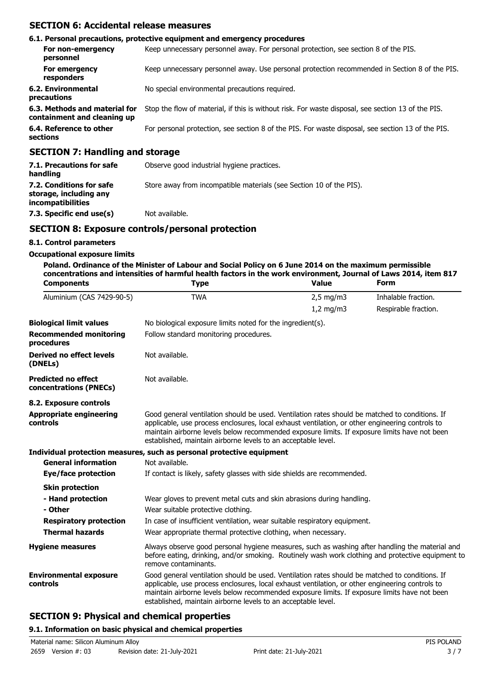### **SECTION 6: Accidental release measures**

|                                                              | 6.1. Personal precautions, protective equipment and emergency procedures                           |
|--------------------------------------------------------------|----------------------------------------------------------------------------------------------------|
| For non-emergency<br>personnel                               | Keep unnecessary personnel away. For personal protection, see section 8 of the PIS.                |
| For emergency<br>responders                                  | Keep unnecessary personnel away. Use personal protection recommended in Section 8 of the PIS.      |
| 6.2. Environmental<br>precautions                            | No special environmental precautions required.                                                     |
| 6.3. Methods and material for<br>containment and cleaning up | Stop the flow of material, if this is without risk. For waste disposal, see section 13 of the PIS. |
| 6.4. Reference to other<br>sections                          | For personal protection, see section 8 of the PIS. For waste disposal, see section 13 of the PIS.  |
| <b>SECTION 7: Handling and storage</b>                       |                                                                                                    |

| 7.1. Precautions for safe<br>handling                                   | Observe good industrial hygiene practices.                          |
|-------------------------------------------------------------------------|---------------------------------------------------------------------|
| 7.2. Conditions for safe<br>storage, including any<br>incompatibilities | Store away from incompatible materials (see Section 10 of the PIS). |
| 7.3. Specific end use(s)                                                | Not available.                                                      |

### **SECTION 8: Exposure controls/personal protection**

### **8.1. Control parameters**

#### **Occupational exposure limits**

**Poland. Ordinance of the Minister of Labour and Social Policy on 6 June 2014 on the maximum permissible concentrations and intensities of harmful health factors in the work environment, Journal of Laws 2014, item 817**

| <b>Components</b>                                    | <b>Type</b>                                                                                                                                                                                                                                                                                                                                                        | <b>Value</b>   | <b>Form</b>          |  |  |  |
|------------------------------------------------------|--------------------------------------------------------------------------------------------------------------------------------------------------------------------------------------------------------------------------------------------------------------------------------------------------------------------------------------------------------------------|----------------|----------------------|--|--|--|
| Aluminium (CAS 7429-90-5)                            | <b>TWA</b>                                                                                                                                                                                                                                                                                                                                                         | $2,5$ mg/m3    | Inhalable fraction.  |  |  |  |
|                                                      |                                                                                                                                                                                                                                                                                                                                                                    | $1,2$ mg/m $3$ | Respirable fraction. |  |  |  |
| <b>Biological limit values</b>                       | No biological exposure limits noted for the ingredient(s).                                                                                                                                                                                                                                                                                                         |                |                      |  |  |  |
| <b>Recommended monitoring</b><br>procedures          | Follow standard monitoring procedures.                                                                                                                                                                                                                                                                                                                             |                |                      |  |  |  |
| <b>Derived no effect levels</b><br>(DNELs)           | Not available.                                                                                                                                                                                                                                                                                                                                                     |                |                      |  |  |  |
| <b>Predicted no effect</b><br>concentrations (PNECs) | Not available.                                                                                                                                                                                                                                                                                                                                                     |                |                      |  |  |  |
| 8.2. Exposure controls                               |                                                                                                                                                                                                                                                                                                                                                                    |                |                      |  |  |  |
| <b>Appropriate engineering</b><br>controls           | Good general ventilation should be used. Ventilation rates should be matched to conditions. If<br>applicable, use process enclosures, local exhaust ventilation, or other engineering controls to<br>maintain airborne levels below recommended exposure limits. If exposure limits have not been<br>established, maintain airborne levels to an acceptable level. |                |                      |  |  |  |
|                                                      | Individual protection measures, such as personal protective equipment                                                                                                                                                                                                                                                                                              |                |                      |  |  |  |
| <b>General information</b>                           | Not available.                                                                                                                                                                                                                                                                                                                                                     |                |                      |  |  |  |
| Eye/face protection                                  | If contact is likely, safety glasses with side shields are recommended.                                                                                                                                                                                                                                                                                            |                |                      |  |  |  |
| <b>Skin protection</b>                               |                                                                                                                                                                                                                                                                                                                                                                    |                |                      |  |  |  |
| - Hand protection                                    | Wear gloves to prevent metal cuts and skin abrasions during handling.                                                                                                                                                                                                                                                                                              |                |                      |  |  |  |
| - Other                                              | Wear suitable protective clothing.                                                                                                                                                                                                                                                                                                                                 |                |                      |  |  |  |
| <b>Respiratory protection</b>                        | In case of insufficient ventilation, wear suitable respiratory equipment.                                                                                                                                                                                                                                                                                          |                |                      |  |  |  |
| <b>Thermal hazards</b>                               | Wear appropriate thermal protective clothing, when necessary.                                                                                                                                                                                                                                                                                                      |                |                      |  |  |  |
| <b>Hygiene measures</b>                              | Always observe good personal hygiene measures, such as washing after handling the material and<br>before eating, drinking, and/or smoking. Routinely wash work clothing and protective equipment to<br>remove contaminants.                                                                                                                                        |                |                      |  |  |  |
| <b>Environmental exposure</b><br>controls            | Good general ventilation should be used. Ventilation rates should be matched to conditions. If<br>applicable, use process enclosures, local exhaust ventilation, or other engineering controls to<br>maintain airborne levels below recommended exposure limits. If exposure limits have not been<br>established, maintain airborne levels to an acceptable level. |                |                      |  |  |  |

### **SECTION 9: Physical and chemical properties**

### **9.1. Information on basic physical and chemical properties**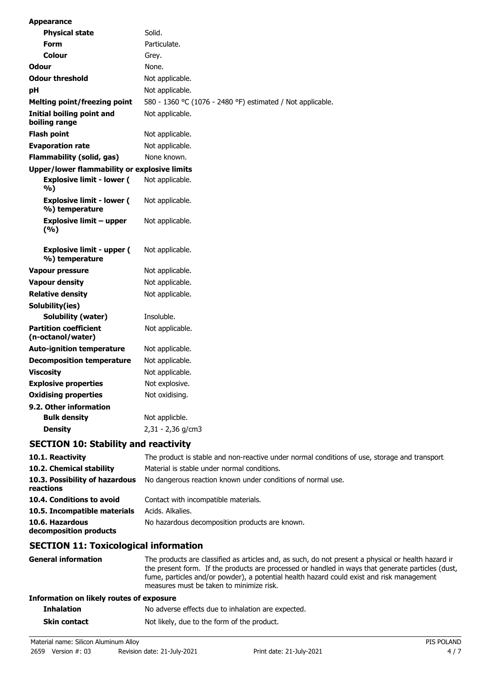| <b>Appearance</b>                                  |                                                            |
|----------------------------------------------------|------------------------------------------------------------|
| <b>Physical state</b>                              | Solid.                                                     |
| <b>Form</b>                                        | Particulate.                                               |
| Colour                                             | Grey.                                                      |
| <b>Odour</b>                                       | None.                                                      |
| <b>Odour threshold</b>                             | Not applicable.                                            |
| рH                                                 | Not applicable.                                            |
| <b>Melting point/freezing point</b>                | 580 - 1360 °C (1076 - 2480 °F) estimated / Not applicable. |
| Initial boiling point and<br>boiling range         | Not applicable.                                            |
| <b>Flash point</b>                                 | Not applicable.                                            |
| <b>Evaporation rate</b>                            | Not applicable.                                            |
| <b>Flammability (solid, gas)</b>                   | None known.                                                |
| Upper/lower flammability or explosive limits       |                                                            |
| <b>Explosive limit - lower (</b><br>%)             | Not applicable.                                            |
| <b>Explosive limit - lower (</b><br>%) temperature | Not applicable.                                            |
| <b>Explosive limit - upper</b><br>(%)              | Not applicable.                                            |
| <b>Explosive limit - upper (</b><br>%) temperature | Not applicable.                                            |
| <b>Vapour pressure</b>                             | Not applicable.                                            |
| <b>Vapour density</b>                              | Not applicable.                                            |
| <b>Relative density</b>                            | Not applicable.                                            |
| Solubility(ies)                                    |                                                            |
| Solubility (water)                                 | Insoluble.                                                 |
| <b>Partition coefficient</b><br>(n-octanol/water)  | Not applicable.                                            |
| <b>Auto-ignition temperature</b>                   | Not applicable.                                            |
| <b>Decomposition temperature</b>                   | Not applicable.                                            |
| <b>Viscosity</b>                                   | Not applicable.                                            |
| <b>Explosive properties</b>                        | Not explosive.                                             |
| <b>Oxidising properties</b>                        | Not oxidising.                                             |
| 9.2. Other information                             |                                                            |
| <b>Bulk density</b>                                | Not applicble.                                             |
| <b>Density</b>                                     | 2,31 - 2,36 g/cm3                                          |
| die alle de l'altres sont les sons de l'altres     |                                                            |

### **SECTION 10: Stability and reactivity**

| 10.1. Reactivity                            | The product is stable and non-reactive under normal conditions of use, storage and transport. |
|---------------------------------------------|-----------------------------------------------------------------------------------------------|
| 10.2. Chemical stability                    | Material is stable under normal conditions.                                                   |
| 10.3. Possibility of hazardous<br>reactions | No dangerous reaction known under conditions of normal use.                                   |
| 10.4. Conditions to avoid                   | Contact with incompatible materials.                                                          |
| 10.5. Incompatible materials                | Acids. Alkalies.                                                                              |
| 10.6. Hazardous<br>decomposition products   | No hazardous decomposition products are known.                                                |

### **SECTION 11: Toxicological information**

**General information** The products are classified as articles and, as such, do not present a physical or health hazard in the present form. If the products are processed or handled in ways that generate particles (dust, fume, particles and/or powder), a potential health hazard could exist and risk management measures must be taken to minimize risk.

#### **Information on likely routes of exposure**

| <b>Inhalation</b>   | No adverse effects due to inhalation are expected. |
|---------------------|----------------------------------------------------|
| <b>Skin contact</b> | Not likely, due to the form of the product.        |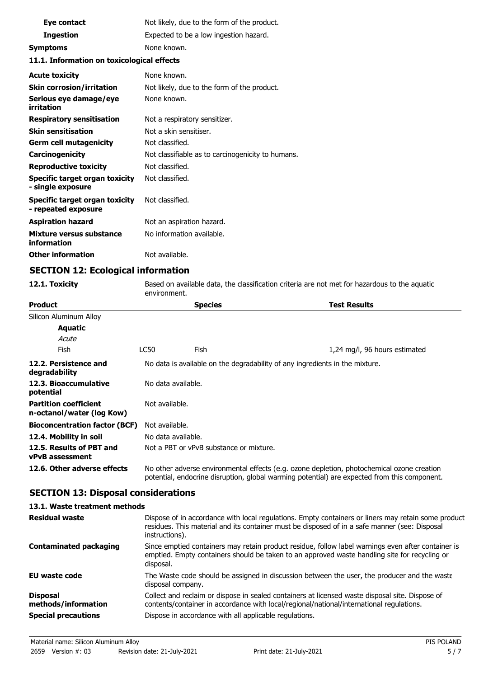| Eye contact                                                | Not likely, due to the form of the product.       |  |  |
|------------------------------------------------------------|---------------------------------------------------|--|--|
| <b>Ingestion</b>                                           | Expected to be a low ingestion hazard.            |  |  |
| <b>Symptoms</b>                                            | None known.                                       |  |  |
| 11.1. Information on toxicological effects                 |                                                   |  |  |
| <b>Acute toxicity</b>                                      | None known.                                       |  |  |
| <b>Skin corrosion/irritation</b>                           | Not likely, due to the form of the product.       |  |  |
| Serious eye damage/eye<br>irritation                       | None known.                                       |  |  |
| <b>Respiratory sensitisation</b>                           | Not a respiratory sensitizer.                     |  |  |
| <b>Skin sensitisation</b>                                  | Not a skin sensitiser.                            |  |  |
| <b>Germ cell mutagenicity</b>                              | Not classified.                                   |  |  |
| Carcinogenicity                                            | Not classifiable as to carcinogenicity to humans. |  |  |
| <b>Reproductive toxicity</b>                               | Not classified.                                   |  |  |
| <b>Specific target organ toxicity</b><br>- single exposure | Not classified.                                   |  |  |
| Specific target organ toxicity<br>- repeated exposure      | Not classified.                                   |  |  |
| <b>Aspiration hazard</b>                                   | Not an aspiration hazard.                         |  |  |
| Mixture versus substance<br>information                    | No information available.                         |  |  |
| <b>Other information</b>                                   | Not available.                                    |  |  |

### **SECTION 12: Ecological information**

**12.1. Toxicity** Based on available data, the classification criteria are not met for hazardous to the aquatic environment.

| <b>Product</b>                                            |                                                                                                                                                                                            | <b>Species</b> | <b>Test Results</b>           |  |
|-----------------------------------------------------------|--------------------------------------------------------------------------------------------------------------------------------------------------------------------------------------------|----------------|-------------------------------|--|
| Silicon Aluminum Alloy                                    |                                                                                                                                                                                            |                |                               |  |
| <b>Aquatic</b>                                            |                                                                                                                                                                                            |                |                               |  |
| Acute                                                     |                                                                                                                                                                                            |                |                               |  |
| <b>Fish</b>                                               | LC50                                                                                                                                                                                       | Fish           | 1,24 mg/l, 96 hours estimated |  |
| 12.2. Persistence and<br>degradability                    | No data is available on the degradability of any ingredients in the mixture.                                                                                                               |                |                               |  |
| 12.3. Bioaccumulative<br>potential                        | No data available.                                                                                                                                                                         |                |                               |  |
| <b>Partition coefficient</b><br>n-octanol/water (log Kow) | Not available.                                                                                                                                                                             |                |                               |  |
| <b>Bioconcentration factor (BCF)</b>                      | Not available.                                                                                                                                                                             |                |                               |  |
| 12.4. Mobility in soil                                    | No data available.                                                                                                                                                                         |                |                               |  |
| 12.5. Results of PBT and<br><b>vPvB</b> assessment        | Not a PBT or vPvB substance or mixture.                                                                                                                                                    |                |                               |  |
| 12.6. Other adverse effects                               | No other adverse environmental effects (e.g. ozone depletion, photochemical ozone creation<br>potential, endocrine disruption, global warming potential) are expected from this component. |                |                               |  |

# **SECTION 13: Disposal considerations**

#### **13.1. Waste treatment methods**

| Residual waste                                                       | Dispose of in accordance with local regulations. Empty containers or liners may retain some product<br>residues. This material and its container must be disposed of in a safe manner (see: Disposal<br>instructions).                                |
|----------------------------------------------------------------------|-------------------------------------------------------------------------------------------------------------------------------------------------------------------------------------------------------------------------------------------------------|
| <b>Contaminated packaging</b>                                        | Since emptied containers may retain product residue, follow label warnings even after container is<br>emptied. Empty containers should be taken to an approved waste handling site for recycling or<br>disposal.                                      |
| EU waste code                                                        | The Waste code should be assigned in discussion between the user, the producer and the waste<br>disposal company.                                                                                                                                     |
| <b>Disposal</b><br>methods/information<br><b>Special precautions</b> | Collect and reclaim or dispose in sealed containers at licensed waste disposal site. Dispose of<br>contents/container in accordance with local/regional/national/international regulations.<br>Dispose in accordance with all applicable regulations. |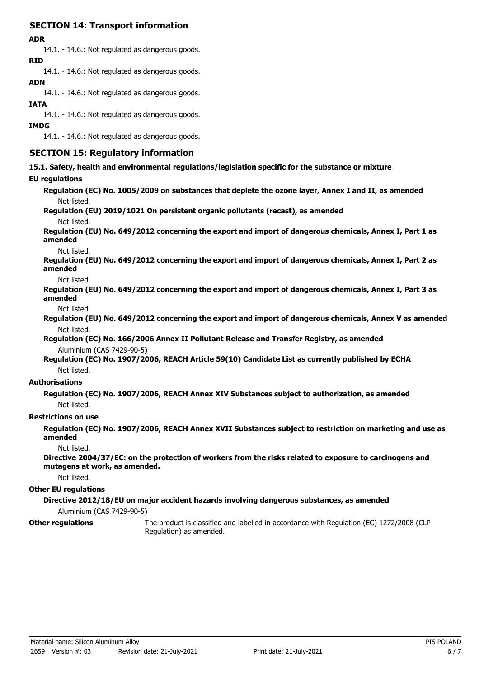### **SECTION 14: Transport information**

#### **ADR**

14.1. - 14.6.: Not regulated as dangerous goods. **RID**

14.1. - 14.6.: Not regulated as dangerous goods.

### **ADN**

14.1. - 14.6.: Not regulated as dangerous goods.

### **IATA**

14.1. - 14.6.: Not regulated as dangerous goods.

#### **IMDG**

14.1. - 14.6.: Not regulated as dangerous goods.

### **SECTION 15: Regulatory information**

**15.1. Safety, health and environmental regulations/legislation specific for the substance or mixture**

### **EU regulations**

**Regulation (EC) No. 1005/2009 on substances that deplete the ozone layer, Annex I and II, as amended** Not listed.

**Regulation (EU) 2019/1021 On persistent organic pollutants (recast), as amended**

Not listed.

**Regulation (EU) No. 649/2012 concerning the export and import of dangerous chemicals, Annex I, Part 1 as amended**

Not listed.

**Regulation (EU) No. 649/2012 concerning the export and import of dangerous chemicals, Annex I, Part 2 as amended**

Not listed.

**Regulation (EU) No. 649/2012 concerning the export and import of dangerous chemicals, Annex I, Part 3 as amended**

Not listed.

**Regulation (EU) No. 649/2012 concerning the export and import of dangerous chemicals, Annex V as amended** Not listed.

**Regulation (EC) No. 166/2006 Annex II Pollutant Release and Transfer Registry, as amended** Aluminium (CAS 7429-90-5)

**Regulation (EC) No. 1907/2006, REACH Article 59(10) Candidate List as currently published by ECHA** Not listed.

### **Authorisations**

**Regulation (EC) No. 1907/2006, REACH Annex XIV Substances subject to authorization, as amended** Not listed.

### **Restrictions on use**

**Regulation (EC) No. 1907/2006, REACH Annex XVII Substances subject to restriction on marketing and use as amended**

Not listed.

**Directive 2004/37/EC: on the protection of workers from the risks related to exposure to carcinogens and mutagens at work, as amended.**

Not listed.

### **Other EU regulations**

**Directive 2012/18/EU on major accident hazards involving dangerous substances, as amended**

Aluminium (CAS 7429-90-5)

**Other regulations**

The product is classified and labelled in accordance with Regulation (EC) 1272/2008 (CLP Regulation) as amended.